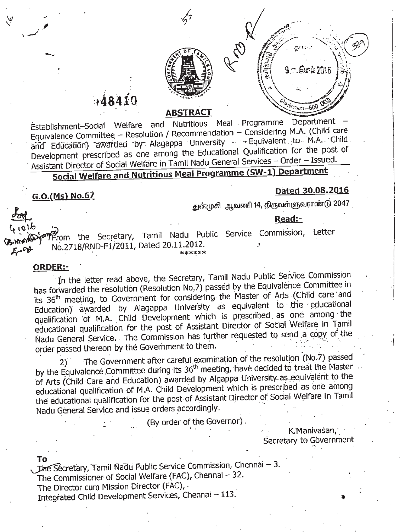

# 48419

### **ABSTRACT**

Establishment-Social Welfare and Nutritious Meal. Programme Department - Equivalence Committee - Resolution / Recommendation - Considering M.A. (Child care and Education) awarded by Alagappa University - - Equivalent.to M.A. Child Development prescribed as one among the Educational Qualification for the post of Assistant Director of Social Welfare in Tamil Nadu General Services - Order - Issued.

## **Social Welfare and Nutritious Meal Programme (SW-1) Department**

### **G.O.(Ms) No.67**

---

 $\vee$ 

#### **Dated 30.08.2016**

 $\cdot$   $\mid$ 

'1

துன்முகி ஆவணி 14, திருவள்ளுவராண்டு 2047

#### **Read:-**

<sup>~</sup> - *. .:/~~'j,."....*<. ~

 $\chi^{\rm O}$  ...  $\left( \frac{1}{2} \right)^{2}$  ... 6  $\approx$  2016 )  $\chi$ 

~\*\~ '.. . . . *r:~*

Classicones - 500 00

.' Service Commission, Letter 4.016<br>By Waren the Secretary, Tamil Nadu Public  $\mathcal{L}$ . \*\*\*\*\*\*

#### **ORDER:-**

 $\mathbf{r}$  .  $\mathbf{r}$ 

In the letter read above, the Secretary, Tamil Nadu Public Service Commission has forwarded the resolution (Resolution No.7) passed by the Equivalence Committee in its 36<sup>th</sup> meeting, to Government for considering the Master of Arts (Child care and Education} awarded by Alagappa University as equivalent to the educational qualification of M.A. Child Development which is prescribed as one among the educational qualification for the post of Assistant Director of Social Welfare in Tamil Nadu General Service. The Commission has further requested to send a copy of the order passed thereon by the Government to them.

2) The Government after careful examination of the resolution (No.7) passed by the Equivalence Committee during its  $36<sup>th</sup>$  meeting, have decided to treat the Master of Arts (Child Care and Education) awarded by Algappa University..as..equivalent to the educational qualification of M.A. Child Development which is prescribed as one among the educational qualification for the post of Assistant Director of Social Welfare in Tamil Nadu General Service and issue orders accordingly.

(By order of the Governor).

K.Manivasan,' Secretary to Government

**To .** . The Secretary, Tamil Nadu Public Service Commission, Chennai – 3. The Commissioner of Social Welfare (FAC), Chennai  $-32$ . The Director cum Mission Director (FAC), .

Integrated Child Development Services, Chennai - 113.